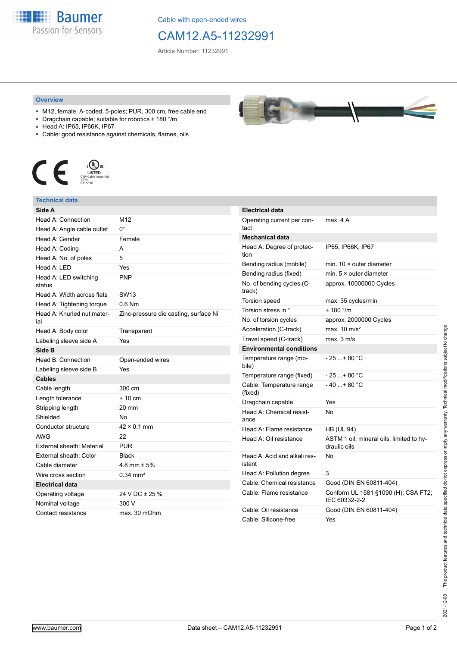**Baumer** Passion for Sensors

Cable with open-ended wires

# CAM12.A5-11232991

Article Number: 11232991

#### **Overview**

- M12, female, A-coded, 5-poles; PUR, 300 cm, free cable end
- Dragchain capable; suitable for robotics ± 180 °/m
- Head A: IP65, IP66K, IP67
- Cable: good resistance against chemicals, flames, oils



### **Technical data**

| Side A                            |                                       |
|-----------------------------------|---------------------------------------|
| Head A: Connection                | M12                                   |
| Head A: Angle cable outlet        | 0°                                    |
| Head A: Gender                    | Female                                |
| Head A: Coding                    | А                                     |
| Head A: No. of poles              | 5                                     |
| Head A: LED                       | Yes                                   |
| Head A: LED switching<br>status   | <b>PNP</b>                            |
| Head A: Width across flats        | <b>SW13</b>                           |
| Head A: Tightening torque         | $0.6$ Nm                              |
| Head A: Knurled nut mater-<br>ial | Zinc-pressure die casting, surface Ni |
| Head A: Body color                | Transparent                           |
| Labeling sleeve side A            | Yes                                   |
| Side B                            |                                       |
| Head B: Connection                | Open-ended wires                      |
| Labeling sleeve side B            | Yes                                   |
| <b>Cables</b>                     |                                       |
| Cable length                      | 300 cm                                |
| Length tolerance                  | $+10 \text{ cm}$                      |
| Stripping length                  | 20 mm                                 |
| Shielded                          | No                                    |
| Conductor structure               | $42 \times 0.1$ mm                    |
| <b>AWG</b>                        | 22                                    |
| External sheath: Material         | <b>PUR</b>                            |
| External sheath: Color            | <b>Black</b>                          |
| Cable diameter                    | 4.8 mm $\pm$ 5%                       |
| Wire cross section                | $0.34 \text{ mm}^2$                   |
| <b>Electrical data</b>            |                                       |
| Operating voltage                 | 24 V DC ± 25 %                        |
| Nominal voltage                   | 300 V                                 |
| Contact resistance                | max. 30 mOhm                          |

| Electrical data                        |                                                          |
|----------------------------------------|----------------------------------------------------------|
| Operating current per con-<br>tact     | max. 4 A                                                 |
| Mechanical data                        |                                                          |
| Head A: Degree of protec-<br>tion      | IP65, IP66K, IP67                                        |
| Bending radius (mobile)                | min. $10 \times$ outer diameter                          |
| Bending radius (fixed)                 | min. $5 \times$ outer diameter                           |
| No. of bending cycles (C-<br>track)    | approx. 10000000 Cycles                                  |
| <b>Torsion speed</b>                   | max. 35 cycles/min                                       |
| Torsion stress in °                    | ± 180 °/m                                                |
| No. of torsion cycles                  | approx. 2000000 Cycles                                   |
| Acceleration (C-track)                 | max. $10 \text{ m/s}^2$                                  |
| Travel speed (C-track)                 | max. 3 m/s                                               |
| <b>Environmental conditions</b>        |                                                          |
| Temperature range (mo-<br>bile)        | $-25$ + 80 °C                                            |
| Temperature range (fixed)              | $-25+80 °C$                                              |
| Cable: Temperature range<br>(fixed)    | $-40$ + 80 °C                                            |
| Dragchain capable                      | Yes                                                      |
| Head A: Chemical resist-<br>ance       | No                                                       |
| Head A: Flame resistance               | <b>HB (UL 94)</b>                                        |
| Head A: Oil resistance                 | ASTM 1 oil, mineral oils, limited to hy-<br>draulic oils |
| Head A: Acid and alkali res-<br>istant | No                                                       |
| Head A: Pollution degree               | 3                                                        |
| Cable: Chemical resistance             | Good (DIN EN 60811-404)                                  |
| Cable: Flame resistance                | Conform UL 1581 §1090 (H); CSA FT2;<br>IEC 60332-2-2     |
| Cable: Oil resistance                  | Good (DIN EN 60811-404)                                  |
| Cable: Silicone-free                   | Yes                                                      |